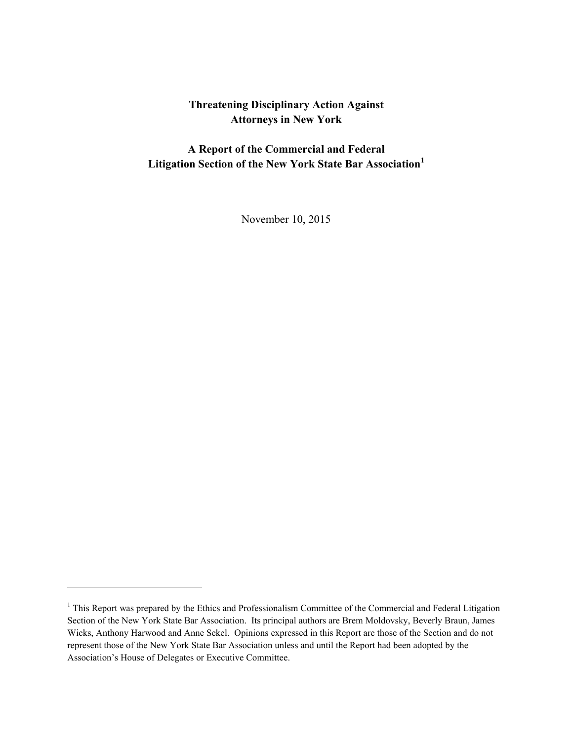# **Threatening Disciplinary Action Against Attorneys in New York**

**A Report of the Commercial and Federal Litigation Section of the New York State Bar Association<sup>1</sup>**

November 10, 2015

<sup>&</sup>lt;sup>1</sup> This Report was prepared by the Ethics and Professionalism Committee of the Commercial and Federal Litigation Section of the New York State Bar Association. Its principal authors are Brem Moldovsky, Beverly Braun, James Wicks, Anthony Harwood and Anne Sekel. Opinions expressed in this Report are those of the Section and do not represent those of the New York State Bar Association unless and until the Report had been adopted by the Association's House of Delegates or Executive Committee.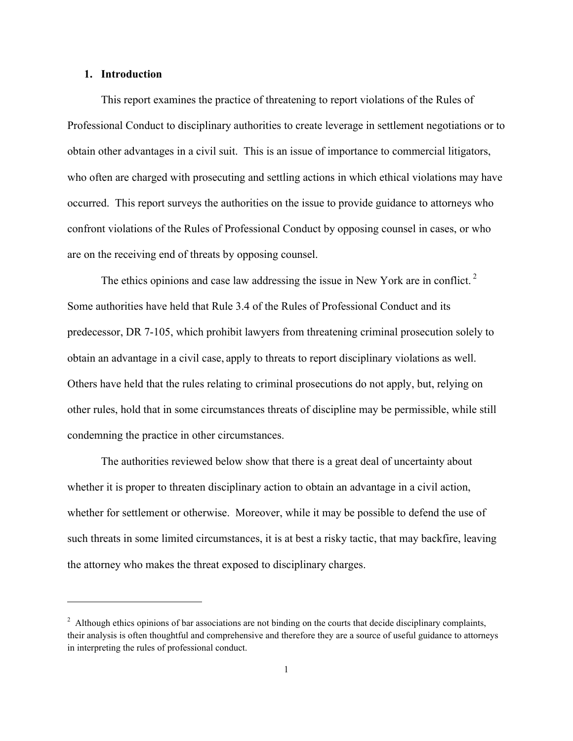#### **1. Introduction**

 $\overline{a}$ 

This report examines the practice of threatening to report violations of the Rules of Professional Conduct to disciplinary authorities to create leverage in settlement negotiations or to obtain other advantages in a civil suit. This is an issue of importance to commercial litigators, who often are charged with prosecuting and settling actions in which ethical violations may have occurred. This report surveys the authorities on the issue to provide guidance to attorneys who confront violations of the Rules of Professional Conduct by opposing counsel in cases, or who are on the receiving end of threats by opposing counsel.

The ethics opinions and case law addressing the issue in New York are in conflict.<sup>2</sup> Some authorities have held that Rule 3.4 of the Rules of Professional Conduct and its predecessor, DR 7-105, which prohibit lawyers from threatening criminal prosecution solely to obtain an advantage in a civil case, apply to threats to report disciplinary violations as well. Others have held that the rules relating to criminal prosecutions do not apply, but, relying on other rules, hold that in some circumstances threats of discipline may be permissible, while still condemning the practice in other circumstances.

The authorities reviewed below show that there is a great deal of uncertainty about whether it is proper to threaten disciplinary action to obtain an advantage in a civil action, whether for settlement or otherwise. Moreover, while it may be possible to defend the use of such threats in some limited circumstances, it is at best a risky tactic, that may backfire, leaving the attorney who makes the threat exposed to disciplinary charges.

 $2$  Although ethics opinions of bar associations are not binding on the courts that decide disciplinary complaints, their analysis is often thoughtful and comprehensive and therefore they are a source of useful guidance to attorneys in interpreting the rules of professional conduct.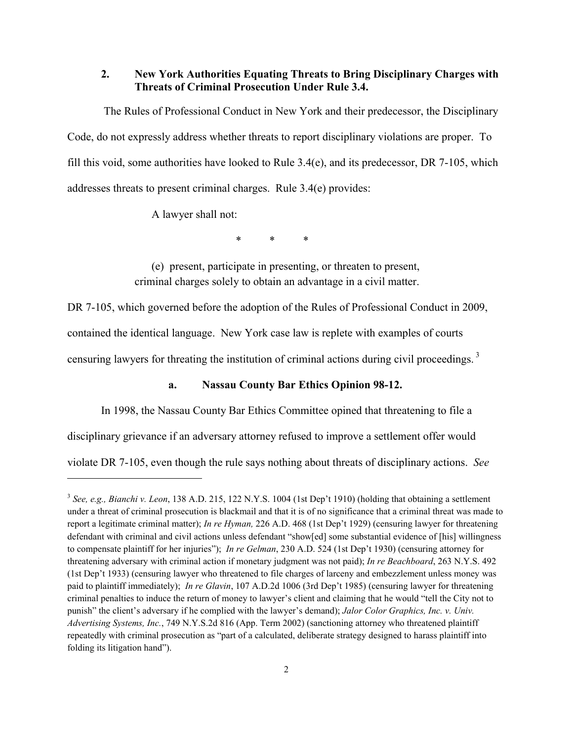### **2. New York Authorities Equating Threats to Bring Disciplinary Charges with Threats of Criminal Prosecution Under Rule 3.4.**

The Rules of Professional Conduct in New York and their predecessor, the Disciplinary Code, do not expressly address whether threats to report disciplinary violations are proper. To fill this void, some authorities have looked to Rule 3.4(e), and its predecessor, DR 7-105, which addresses threats to present criminal charges. Rule 3.4(e) provides:

A lawyer shall not:

l

\* \* \*

(e) present, participate in presenting, or threaten to present, criminal charges solely to obtain an advantage in a civil matter.

DR 7-105, which governed before the adoption of the Rules of Professional Conduct in 2009,

contained the identical language. New York case law is replete with examples of courts

censuring lawyers for threating the institution of criminal actions during civil proceedings.<sup>3</sup>

#### **a. Nassau County Bar Ethics Opinion 98-12.**

In 1998, the Nassau County Bar Ethics Committee opined that threatening to file a

disciplinary grievance if an adversary attorney refused to improve a settlement offer would

violate DR 7-105, even though the rule says nothing about threats of disciplinary actions. *See*

<sup>3</sup> *See, e.g., Bianchi v. Leon*, 138 A.D. 215, 122 N.Y.S. 1004 (1st Dep't 1910) (holding that obtaining a settlement under a threat of criminal prosecution is blackmail and that it is of no significance that a criminal threat was made to report a legitimate criminal matter); *In re Hyman,* 226 A.D. 468 (1st Dep't 1929) (censuring lawyer for threatening defendant with criminal and civil actions unless defendant "show[ed] some substantial evidence of [his] willingness to compensate plaintiff for her injuries"); *In re Gelman*, 230 A.D. 524 (1st Dep't 1930) (censuring attorney for threatening adversary with criminal action if monetary judgment was not paid); *In re Beachboard*, 263 N.Y.S. 492 (1st Dep't 1933) (censuring lawyer who threatened to file charges of larceny and embezzlement unless money was paid to plaintiff immediately); *In re Glavin*, 107 A.D.2d 1006 (3rd Dep't 1985) (censuring lawyer for threatening criminal penalties to induce the return of money to lawyer's client and claiming that he would "tell the City not to punish" the client's adversary if he complied with the lawyer's demand); *Jalor Color Graphics, Inc. v. Univ. Advertising Systems, Inc.*, 749 N.Y.S.2d 816 (App. Term 2002) (sanctioning attorney who threatened plaintiff repeatedly with criminal prosecution as "part of a calculated, deliberate strategy designed to harass plaintiff into folding its litigation hand").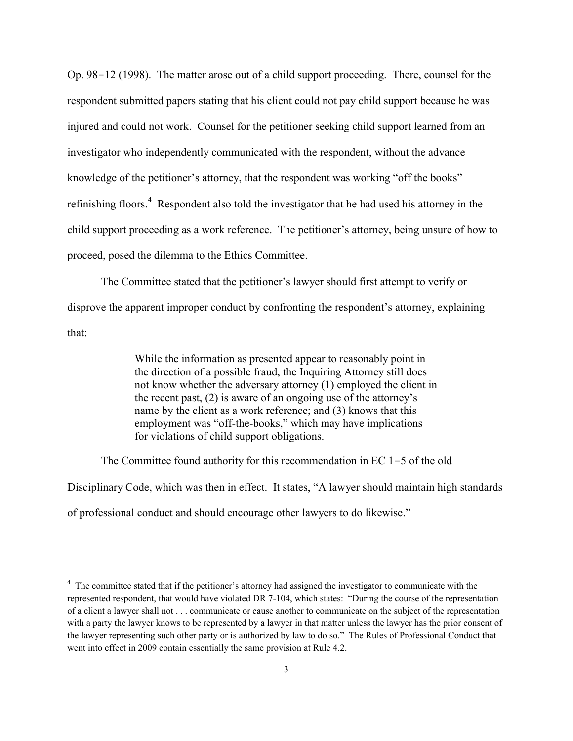Op. 98-12 (1998). The matter arose out of a child support proceeding. There, counsel for the respondent submitted papers stating that his client could not pay child support because he was injured and could not work. Counsel for the petitioner seeking child support learned from an investigator who independently communicated with the respondent, without the advance knowledge of the petitioner's attorney, that the respondent was working "off the books" refinishing floors.<sup>4</sup> Respondent also told the investigator that he had used his attorney in the child support proceeding as a work reference. The petitioner's attorney, being unsure of how to proceed, posed the dilemma to the Ethics Committee.

The Committee stated that the petitioner's lawyer should first attempt to verify or disprove the apparent improper conduct by confronting the respondent's attorney, explaining that:

> While the information as presented appear to reasonably point in the direction of a possible fraud, the Inquiring Attorney still does not know whether the adversary attorney (1) employed the client in the recent past, (2) is aware of an ongoing use of the attorney's name by the client as a work reference; and (3) knows that this employment was "off-the-books," which may have implications for violations of child support obligations.

The Committee found authority for this recommendation in EC 1-5 of the old Disciplinary Code, which was then in effect. It states, "A lawyer should maintain high standards of professional conduct and should encourage other lawyers to do likewise."

<sup>&</sup>lt;sup>4</sup> The committee stated that if the petitioner's attorney had assigned the investigator to communicate with the represented respondent, that would have violated DR 7-104, which states: "During the course of the representation of a client a lawyer shall not . . . communicate or cause another to communicate on the subject of the representation with a party the lawyer knows to be represented by a lawyer in that matter unless the lawyer has the prior consent of the lawyer representing such other party or is authorized by law to do so." The Rules of Professional Conduct that went into effect in 2009 contain essentially the same provision at Rule 4.2.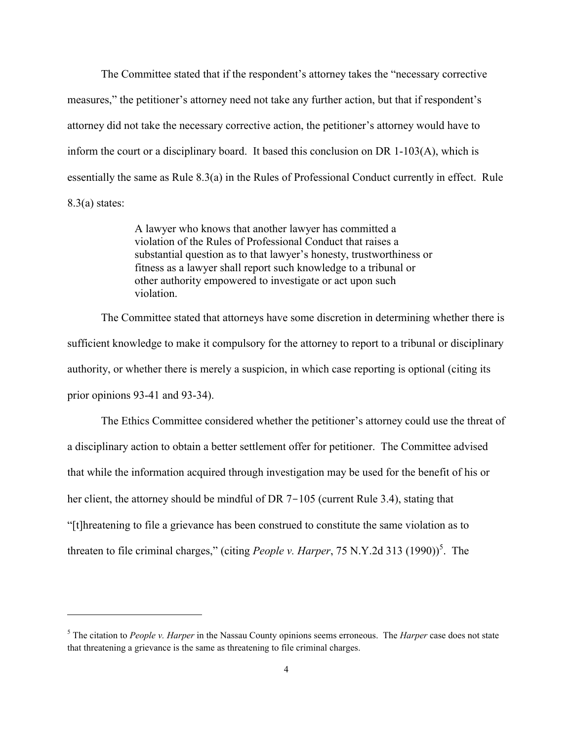The Committee stated that if the respondent's attorney takes the "necessary corrective measures," the petitioner's attorney need not take any further action, but that if respondent's attorney did not take the necessary corrective action, the petitioner's attorney would have to inform the court or a disciplinary board. It based this conclusion on DR 1-103(A), which is essentially the same as Rule 8.3(a) in the Rules of Professional Conduct currently in effect. Rule 8.3(a) states:

> A lawyer who knows that another lawyer has committed a violation of the Rules of Professional Conduct that raises a substantial question as to that lawyer's honesty, trustworthiness or fitness as a lawyer shall report such knowledge to a tribunal or other authority empowered to investigate or act upon such violation.

The Committee stated that attorneys have some discretion in determining whether there is sufficient knowledge to make it compulsory for the attorney to report to a tribunal or disciplinary authority, or whether there is merely a suspicion, in which case reporting is optional (citing its prior opinions 93-41 and 93-34).

The Ethics Committee considered whether the petitioner's attorney could use the threat of a disciplinary action to obtain a better settlement offer for petitioner. The Committee advised that while the information acquired through investigation may be used for the benefit of his or her client, the attorney should be mindful of DR 7-105 (current Rule 3.4), stating that "[t]hreatening to file a grievance has been construed to constitute the same violation as to threaten to file criminal charges," (citing *People v. Harper*, 75 N.Y.2d 313 (1990)) 5 . The

<sup>5</sup> The citation to *People v. Harper* in the Nassau County opinions seems erroneous. The *Harper* case does not state that threatening a grievance is the same as threatening to file criminal charges.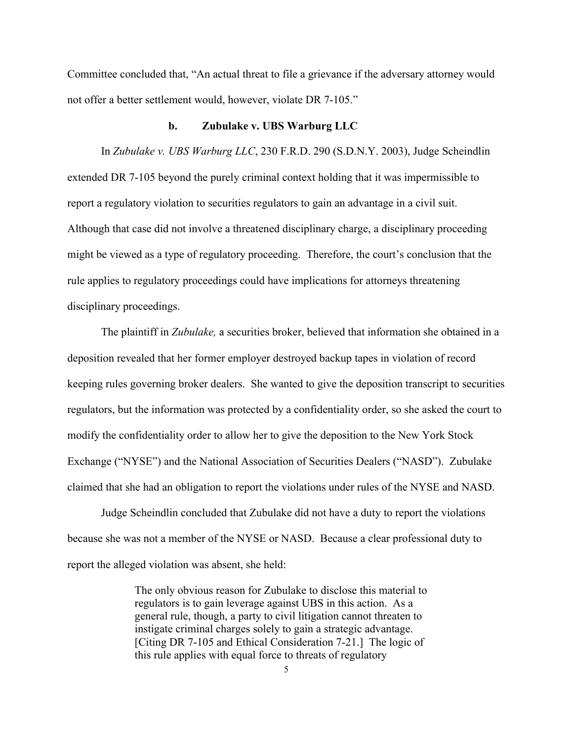Committee concluded that, "An actual threat to file a grievance if the adversary attorney would not offer a better settlement would, however, violate DR 7-105."

### **b. Zubulake v. UBS Warburg LLC**

In *Zubulake v. UBS Warburg LLC*, 230 F.R.D. 290 (S.D.N.Y. 2003), Judge Scheindlin extended DR 7-105 beyond the purely criminal context holding that it was impermissible to report a regulatory violation to securities regulators to gain an advantage in a civil suit. Although that case did not involve a threatened disciplinary charge, a disciplinary proceeding might be viewed as a type of regulatory proceeding. Therefore, the court's conclusion that the rule applies to regulatory proceedings could have implications for attorneys threatening disciplinary proceedings.

The plaintiff in *Zubulake,* a securities broker, believed that information she obtained in a deposition revealed that her former employer destroyed backup tapes in violation of record keeping rules governing broker dealers. She wanted to give the deposition transcript to securities regulators, but the information was protected by a confidentiality order, so she asked the court to modify the confidentiality order to allow her to give the deposition to the New York Stock Exchange ("NYSE") and the National Association of Securities Dealers ("NASD"). Zubulake claimed that she had an obligation to report the violations under rules of the NYSE and NASD.

Judge Scheindlin concluded that Zubulake did not have a duty to report the violations because she was not a member of the NYSE or NASD. Because a clear professional duty to report the alleged violation was absent, she held:

> The only obvious reason for Zubulake to disclose this material to regulators is to gain leverage against UBS in this action. As a general rule, though, a party to civil litigation cannot threaten to instigate criminal charges solely to gain a strategic advantage. [Citing DR 7-105 and Ethical Consideration 7-21.] The logic of this rule applies with equal force to threats of regulatory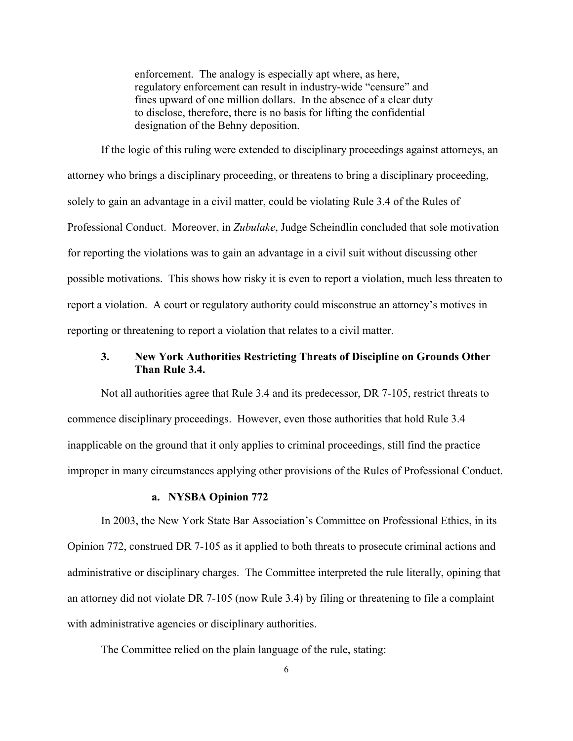enforcement. The analogy is especially apt where, as here, regulatory enforcement can result in industry-wide "censure" and fines upward of one million dollars. In the absence of a clear duty to disclose, therefore, there is no basis for lifting the confidential designation of the Behny deposition.

If the logic of this ruling were extended to disciplinary proceedings against attorneys, an attorney who brings a disciplinary proceeding, or threatens to bring a disciplinary proceeding, solely to gain an advantage in a civil matter, could be violating Rule 3.4 of the Rules of Professional Conduct. Moreover, in *Zubulake*, Judge Scheindlin concluded that sole motivation for reporting the violations was to gain an advantage in a civil suit without discussing other possible motivations. This shows how risky it is even to report a violation, much less threaten to report a violation. A court or regulatory authority could misconstrue an attorney's motives in reporting or threatening to report a violation that relates to a civil matter.

# **3. New York Authorities Restricting Threats of Discipline on Grounds Other Than Rule 3.4.**

Not all authorities agree that Rule 3.4 and its predecessor, DR 7-105, restrict threats to commence disciplinary proceedings. However, even those authorities that hold Rule 3.4 inapplicable on the ground that it only applies to criminal proceedings, still find the practice improper in many circumstances applying other provisions of the Rules of Professional Conduct.

#### **a. NYSBA Opinion 772**

In 2003, the New York State Bar Association's Committee on Professional Ethics, in its Opinion 772, construed DR 7-105 as it applied to both threats to prosecute criminal actions and administrative or disciplinary charges. The Committee interpreted the rule literally, opining that an attorney did not violate DR 7-105 (now Rule 3.4) by filing or threatening to file a complaint with administrative agencies or disciplinary authorities.

The Committee relied on the plain language of the rule, stating: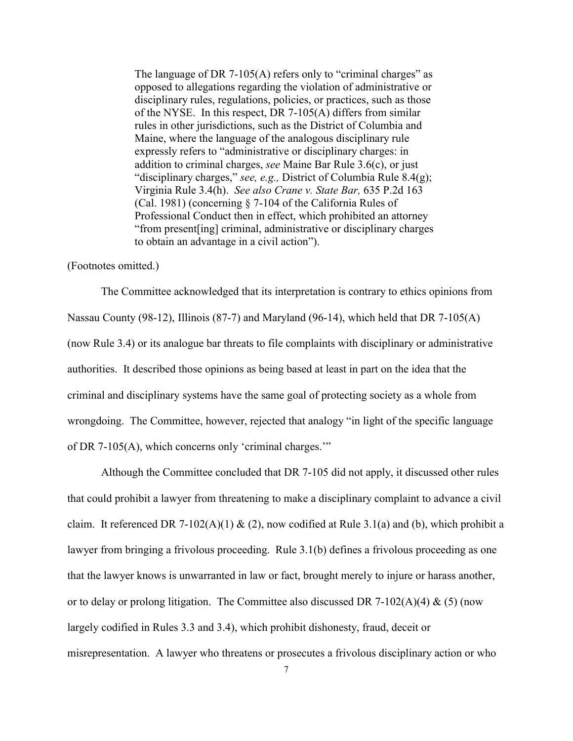The language of DR 7-105(A) refers only to "criminal charges" as opposed to allegations regarding the violation of administrative or disciplinary rules, regulations, policies, or practices, such as those of the NYSE. In this respect, DR 7-105(A) differs from similar rules in other jurisdictions, such as the District of Columbia and Maine, where the language of the analogous disciplinary rule expressly refers to "administrative or disciplinary charges: in addition to criminal charges, *see* Maine Bar Rule 3.6(c), or just "disciplinary charges," *see, e.g.,* District of Columbia Rule 8.4(g); Virginia Rule 3.4(h). *See also Crane v. State Bar,* 635 P.2d 163 (Cal. 1981) (concerning § 7-104 of the California Rules of Professional Conduct then in effect, which prohibited an attorney "from present[ing] criminal, administrative or disciplinary charges to obtain an advantage in a civil action").

#### (Footnotes omitted.)

The Committee acknowledged that its interpretation is contrary to ethics opinions from Nassau County (98-12), Illinois (87-7) and Maryland (96-14), which held that DR 7-105(A) (now Rule 3.4) or its analogue bar threats to file complaints with disciplinary or administrative authorities. It described those opinions as being based at least in part on the idea that the criminal and disciplinary systems have the same goal of protecting society as a whole from wrongdoing. The Committee, however, rejected that analogy "in light of the specific language of DR 7-105(A), which concerns only 'criminal charges.'"

Although the Committee concluded that DR 7-105 did not apply, it discussed other rules that could prohibit a lawyer from threatening to make a disciplinary complaint to advance a civil claim. It referenced DR 7-102(A)(1) & (2), now codified at Rule 3.1(a) and (b), which prohibit a lawyer from bringing a frivolous proceeding. Rule 3.1(b) defines a frivolous proceeding as one that the lawyer knows is unwarranted in law or fact, brought merely to injure or harass another, or to delay or prolong litigation. The Committee also discussed DR 7-102(A)(4) & (5) (now largely codified in Rules 3.3 and 3.4), which prohibit dishonesty, fraud, deceit or misrepresentation. A lawyer who threatens or prosecutes a frivolous disciplinary action or who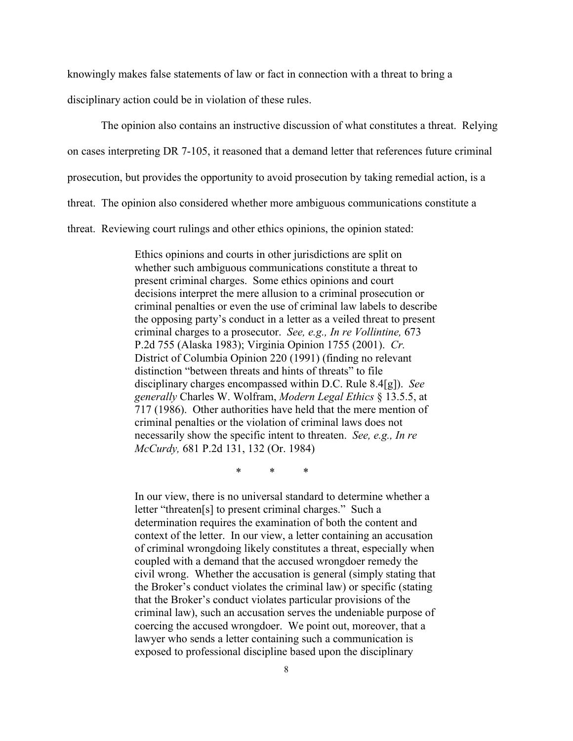knowingly makes false statements of law or fact in connection with a threat to bring a

disciplinary action could be in violation of these rules.

The opinion also contains an instructive discussion of what constitutes a threat. Relying on cases interpreting DR 7-105, it reasoned that a demand letter that references future criminal prosecution, but provides the opportunity to avoid prosecution by taking remedial action, is a threat. The opinion also considered whether more ambiguous communications constitute a threat. Reviewing court rulings and other ethics opinions, the opinion stated:

> Ethics opinions and courts in other jurisdictions are split on whether such ambiguous communications constitute a threat to present criminal charges. Some ethics opinions and court decisions interpret the mere allusion to a criminal prosecution or criminal penalties or even the use of criminal law labels to describe the opposing party's conduct in a letter as a veiled threat to present criminal charges to a prosecutor. *See, e.g., In re Vollintine,* 673 P.2d 755 (Alaska 1983); Virginia Opinion 1755 (2001). *Cr.*  District of Columbia Opinion 220 (1991) (finding no relevant distinction "between threats and hints of threats" to file disciplinary charges encompassed within D.C. Rule 8.4[g]). *See generally* Charles W. Wolfram, *Modern Legal Ethics* § 13.5.5, at 717 (1986). Other authorities have held that the mere mention of criminal penalties or the violation of criminal laws does not necessarily show the specific intent to threaten. *See, e.g., In re McCurdy,* 681 P.2d 131, 132 (Or. 1984)

> > \* \* \*

In our view, there is no universal standard to determine whether a letter "threaten[s] to present criminal charges." Such a determination requires the examination of both the content and context of the letter. In our view, a letter containing an accusation of criminal wrongdoing likely constitutes a threat, especially when coupled with a demand that the accused wrongdoer remedy the civil wrong. Whether the accusation is general (simply stating that the Broker's conduct violates the criminal law) or specific (stating that the Broker's conduct violates particular provisions of the criminal law), such an accusation serves the undeniable purpose of coercing the accused wrongdoer. We point out, moreover, that a lawyer who sends a letter containing such a communication is exposed to professional discipline based upon the disciplinary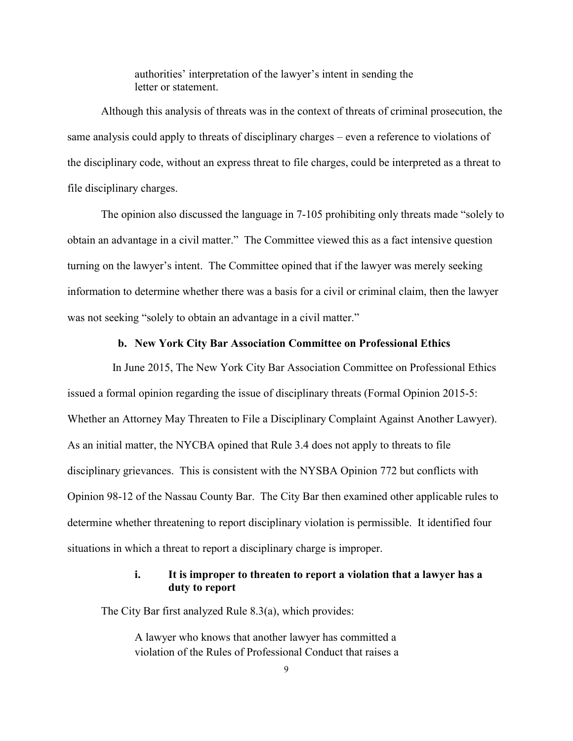authorities' interpretation of the lawyer's intent in sending the letter or statement.

Although this analysis of threats was in the context of threats of criminal prosecution, the same analysis could apply to threats of disciplinary charges – even a reference to violations of the disciplinary code, without an express threat to file charges, could be interpreted as a threat to file disciplinary charges.

The opinion also discussed the language in 7-105 prohibiting only threats made "solely to obtain an advantage in a civil matter." The Committee viewed this as a fact intensive question turning on the lawyer's intent. The Committee opined that if the lawyer was merely seeking information to determine whether there was a basis for a civil or criminal claim, then the lawyer was not seeking "solely to obtain an advantage in a civil matter."

#### **b. New York City Bar Association Committee on Professional Ethics**

 In June 2015, The New York City Bar Association Committee on Professional Ethics issued a formal opinion regarding the issue of disciplinary threats (Formal Opinion 2015-5: Whether an Attorney May Threaten to File a Disciplinary Complaint Against Another Lawyer). As an initial matter, the NYCBA opined that Rule 3.4 does not apply to threats to file disciplinary grievances. This is consistent with the NYSBA Opinion 772 but conflicts with Opinion 98-12 of the Nassau County Bar. The City Bar then examined other applicable rules to determine whether threatening to report disciplinary violation is permissible. It identified four situations in which a threat to report a disciplinary charge is improper.

### **i. It is improper to threaten to report a violation that a lawyer has a duty to report**

The City Bar first analyzed Rule 8.3(a), which provides:

A lawyer who knows that another lawyer has committed a violation of the Rules of Professional Conduct that raises a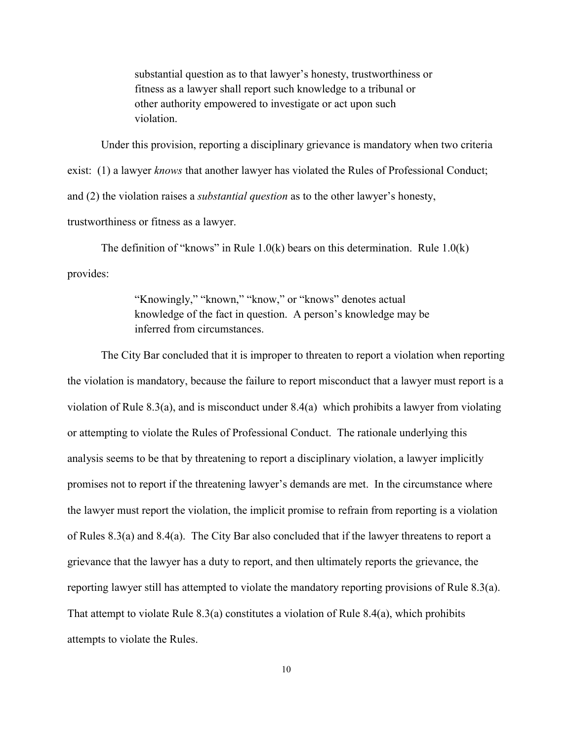substantial question as to that lawyer's honesty, trustworthiness or fitness as a lawyer shall report such knowledge to a tribunal or other authority empowered to investigate or act upon such violation.

Under this provision, reporting a disciplinary grievance is mandatory when two criteria exist: (1) a lawyer *knows* that another lawyer has violated the Rules of Professional Conduct; and (2) the violation raises a *substantial question* as to the other lawyer's honesty, trustworthiness or fitness as a lawyer.

The definition of "knows" in Rule  $1.0(k)$  bears on this determination. Rule  $1.0(k)$ provides:

> "Knowingly," "known," "know," or "knows" denotes actual knowledge of the fact in question. A person's knowledge may be inferred from circumstances.

The City Bar concluded that it is improper to threaten to report a violation when reporting the violation is mandatory, because the failure to report misconduct that a lawyer must report is a violation of Rule 8.3(a), and is misconduct under 8.4(a) which prohibits a lawyer from violating or attempting to violate the Rules of Professional Conduct. The rationale underlying this analysis seems to be that by threatening to report a disciplinary violation, a lawyer implicitly promises not to report if the threatening lawyer's demands are met. In the circumstance where the lawyer must report the violation, the implicit promise to refrain from reporting is a violation of Rules 8.3(a) and 8.4(a). The City Bar also concluded that if the lawyer threatens to report a grievance that the lawyer has a duty to report, and then ultimately reports the grievance, the reporting lawyer still has attempted to violate the mandatory reporting provisions of Rule 8.3(a). That attempt to violate Rule 8.3(a) constitutes a violation of Rule 8.4(a), which prohibits attempts to violate the Rules.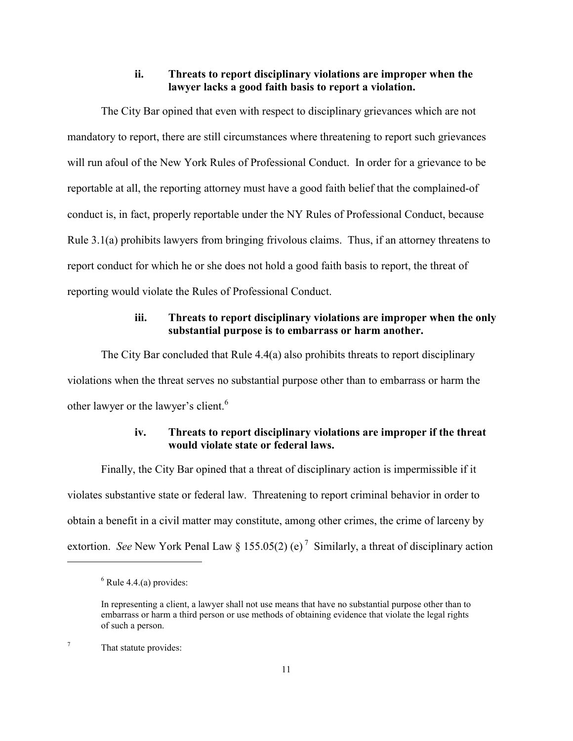### **ii. Threats to report disciplinary violations are improper when the lawyer lacks a good faith basis to report a violation.**

The City Bar opined that even with respect to disciplinary grievances which are not mandatory to report, there are still circumstances where threatening to report such grievances will run afoul of the New York Rules of Professional Conduct. In order for a grievance to be reportable at all, the reporting attorney must have a good faith belief that the complained-of conduct is, in fact, properly reportable under the NY Rules of Professional Conduct, because Rule 3.1(a) prohibits lawyers from bringing frivolous claims. Thus, if an attorney threatens to report conduct for which he or she does not hold a good faith basis to report, the threat of reporting would violate the Rules of Professional Conduct.

### **iii. Threats to report disciplinary violations are improper when the only substantial purpose is to embarrass or harm another.**

The City Bar concluded that Rule 4.4(a) also prohibits threats to report disciplinary violations when the threat serves no substantial purpose other than to embarrass or harm the other lawyer or the lawyer's client.<sup>6</sup>

# **iv. Threats to report disciplinary violations are improper if the threat would violate state or federal laws.**

Finally, the City Bar opined that a threat of disciplinary action is impermissible if it violates substantive state or federal law. Threatening to report criminal behavior in order to obtain a benefit in a civil matter may constitute, among other crimes, the crime of larceny by extortion. *See* New York Penal Law  $\S 155.05(2)$  (e)<sup>7</sup> Similarly, a threat of disciplinary action

 $6$  Rule 4.4.(a) provides:

In representing a client, a lawyer shall not use means that have no substantial purpose other than to embarrass or harm a third person or use methods of obtaining evidence that violate the legal rights of such a person.

<sup>7</sup> That statute provides: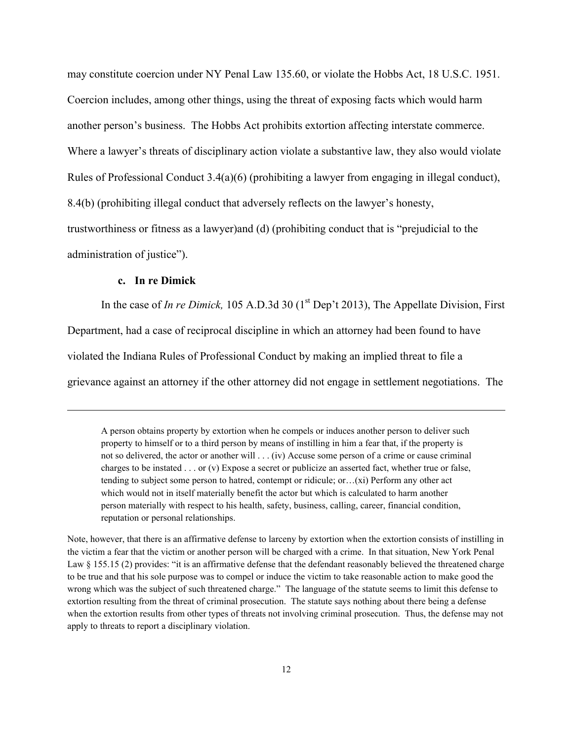may constitute coercion under NY Penal Law 135.60, or violate the Hobbs Act, 18 U.S.C. 1951. Coercion includes, among other things, using the threat of exposing facts which would harm another person's business. The Hobbs Act prohibits extortion affecting interstate commerce. Where a lawyer's threats of disciplinary action violate a substantive law, they also would violate Rules of Professional Conduct 3.4(a)(6) (prohibiting a lawyer from engaging in illegal conduct), 8.4(b) (prohibiting illegal conduct that adversely reflects on the lawyer's honesty, trustworthiness or fitness as a lawyer)and (d) (prohibiting conduct that is "prejudicial to the administration of justice").

### **c. In re Dimick**

 $\overline{\phantom{a}}$ 

In the case of *In re Dimick*, 105 A.D.3d 30 ( $1<sup>st</sup>$  Dep't 2013), The Appellate Division, First Department, had a case of reciprocal discipline in which an attorney had been found to have violated the Indiana Rules of Professional Conduct by making an implied threat to file a grievance against an attorney if the other attorney did not engage in settlement negotiations. The

A person obtains property by extortion when he compels or induces another person to deliver such property to himself or to a third person by means of instilling in him a fear that, if the property is not so delivered, the actor or another will . . . (iv) Accuse some person of a crime or cause criminal charges to be instated . . . or (v) Expose a secret or publicize an asserted fact, whether true or false, tending to subject some person to hatred, contempt or ridicule; or…(xi) Perform any other act which would not in itself materially benefit the actor but which is calculated to harm another person materially with respect to his health, safety, business, calling, career, financial condition, reputation or personal relationships.

Note, however, that there is an affirmative defense to larceny by extortion when the extortion consists of instilling in the victim a fear that the victim or another person will be charged with a crime. In that situation, New York Penal Law § 155.15 (2) provides: "it is an affirmative defense that the defendant reasonably believed the threatened charge to be true and that his sole purpose was to compel or induce the victim to take reasonable action to make good the wrong which was the subject of such threatened charge." The language of the statute seems to limit this defense to extortion resulting from the threat of criminal prosecution. The statute says nothing about there being a defense when the extortion results from other types of threats not involving criminal prosecution. Thus, the defense may not apply to threats to report a disciplinary violation.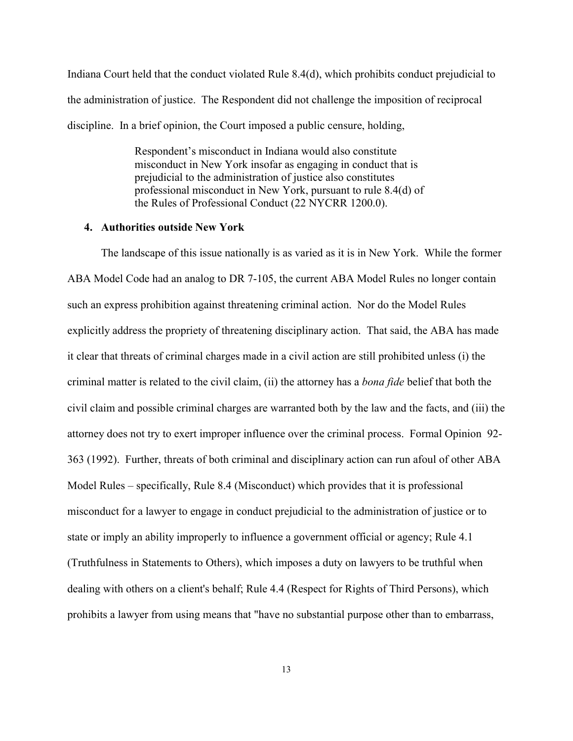Indiana Court held that the conduct violated Rule 8.4(d), which prohibits conduct prejudicial to the administration of justice. The Respondent did not challenge the imposition of reciprocal discipline. In a brief opinion, the Court imposed a public censure, holding,

> Respondent's misconduct in Indiana would also constitute misconduct in New York insofar as engaging in conduct that is prejudicial to the administration of justice also constitutes professional misconduct in New York, pursuant to rule 8.4(d) of the Rules of Professional Conduct (22 NYCRR 1200.0).

### **4. Authorities outside New York**

The landscape of this issue nationally is as varied as it is in New York. While the former ABA Model Code had an analog to DR 7-105, the current ABA Model Rules no longer contain such an express prohibition against threatening criminal action. Nor do the Model Rules explicitly address the propriety of threatening disciplinary action. That said, the ABA has made it clear that threats of criminal charges made in a civil action are still prohibited unless (i) the criminal matter is related to the civil claim, (ii) the attorney has a *bona fide* belief that both the civil claim and possible criminal charges are warranted both by the law and the facts, and (iii) the attorney does not try to exert improper influence over the criminal process. Formal Opinion 92- 363 (1992). Further, threats of both criminal and disciplinary action can run afoul of other ABA Model Rules – specifically, Rule 8.4 (Misconduct) which provides that it is professional misconduct for a lawyer to engage in conduct prejudicial to the administration of justice or to state or imply an ability improperly to influence a government official or agency; Rule 4.1 (Truthfulness in Statements to Others), which imposes a duty on lawyers to be truthful when dealing with others on a client's behalf; Rule 4.4 (Respect for Rights of Third Persons), which prohibits a lawyer from using means that "have no substantial purpose other than to embarrass,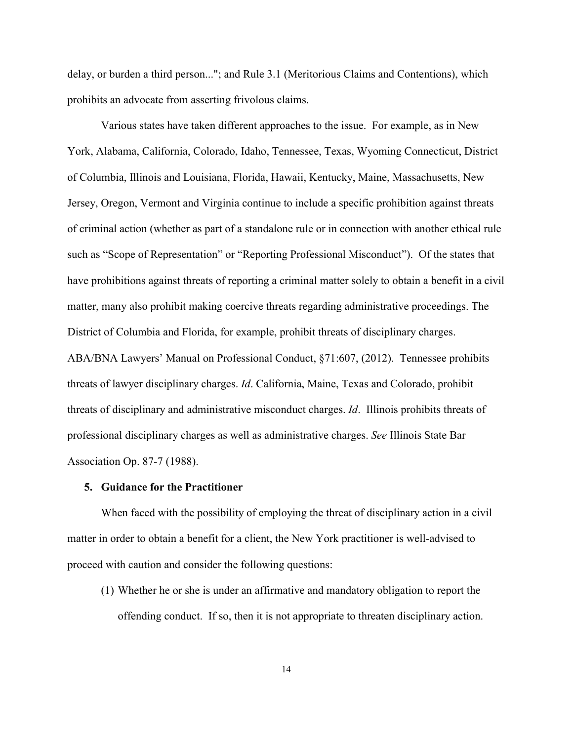delay, or burden a third person..."; and Rule 3.1 (Meritorious Claims and Contentions), which prohibits an advocate from asserting frivolous claims.

Various states have taken different approaches to the issue. For example, as in New York, Alabama, California, Colorado, Idaho, Tennessee, Texas, Wyoming Connecticut, District of Columbia, Illinois and Louisiana, Florida, Hawaii, Kentucky, Maine, Massachusetts, New Jersey, Oregon, Vermont and Virginia continue to include a specific prohibition against threats of criminal action (whether as part of a standalone rule or in connection with another ethical rule such as "Scope of Representation" or "Reporting Professional Misconduct"). Of the states that have prohibitions against threats of reporting a criminal matter solely to obtain a benefit in a civil matter, many also prohibit making coercive threats regarding administrative proceedings. The District of Columbia and Florida, for example, prohibit threats of disciplinary charges. ABA/BNA Lawyers' Manual on Professional Conduct, §71:607, (2012). Tennessee prohibits threats of lawyer disciplinary charges. *Id*. California, Maine, Texas and Colorado, prohibit threats of disciplinary and administrative misconduct charges. *Id*. Illinois prohibits threats of professional disciplinary charges as well as administrative charges. *See* Illinois State Bar Association Op. 87-7 (1988).

#### **5. Guidance for the Practitioner**

When faced with the possibility of employing the threat of disciplinary action in a civil matter in order to obtain a benefit for a client, the New York practitioner is well-advised to proceed with caution and consider the following questions:

(1) Whether he or she is under an affirmative and mandatory obligation to report the offending conduct. If so, then it is not appropriate to threaten disciplinary action.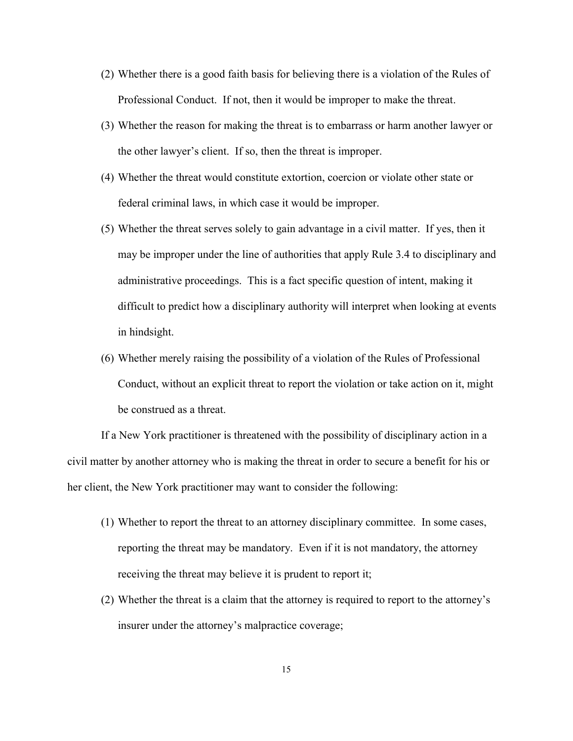- (2) Whether there is a good faith basis for believing there is a violation of the Rules of Professional Conduct. If not, then it would be improper to make the threat.
- (3) Whether the reason for making the threat is to embarrass or harm another lawyer or the other lawyer's client. If so, then the threat is improper.
- (4) Whether the threat would constitute extortion, coercion or violate other state or federal criminal laws, in which case it would be improper.
- (5) Whether the threat serves solely to gain advantage in a civil matter. If yes, then it may be improper under the line of authorities that apply Rule 3.4 to disciplinary and administrative proceedings. This is a fact specific question of intent, making it difficult to predict how a disciplinary authority will interpret when looking at events in hindsight.
- (6) Whether merely raising the possibility of a violation of the Rules of Professional Conduct, without an explicit threat to report the violation or take action on it, might be construed as a threat.

If a New York practitioner is threatened with the possibility of disciplinary action in a civil matter by another attorney who is making the threat in order to secure a benefit for his or her client, the New York practitioner may want to consider the following:

- (1) Whether to report the threat to an attorney disciplinary committee. In some cases, reporting the threat may be mandatory. Even if it is not mandatory, the attorney receiving the threat may believe it is prudent to report it;
- (2) Whether the threat is a claim that the attorney is required to report to the attorney's insurer under the attorney's malpractice coverage;